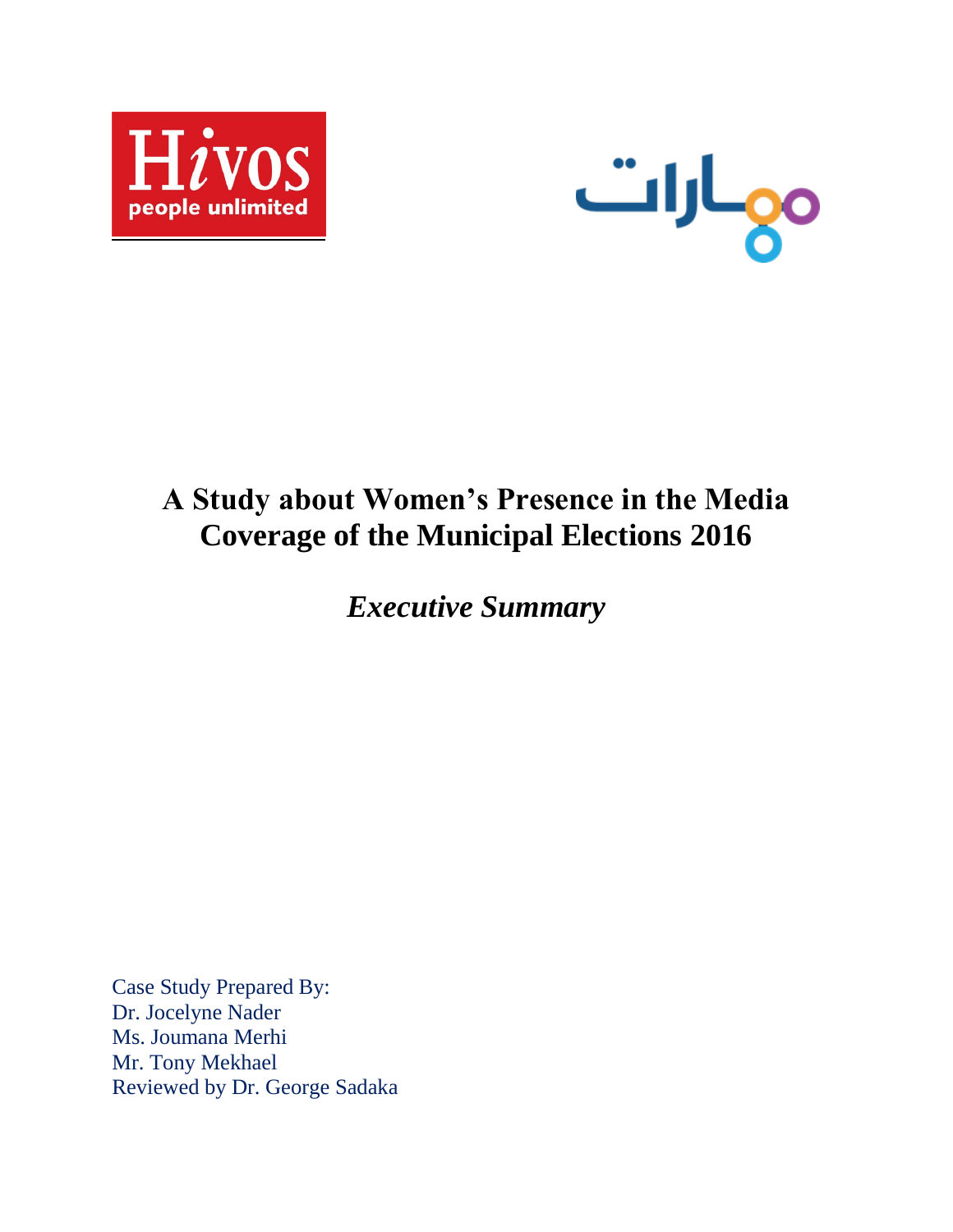



# **A Study about Women's Presence in the Media Coverage of the Municipal Elections 2016**

*Executive Summary*

Case Study Prepared By: Dr. Jocelyne Nader Ms. Joumana Merhi Mr. Tony Mekhael Reviewed by Dr. George Sadaka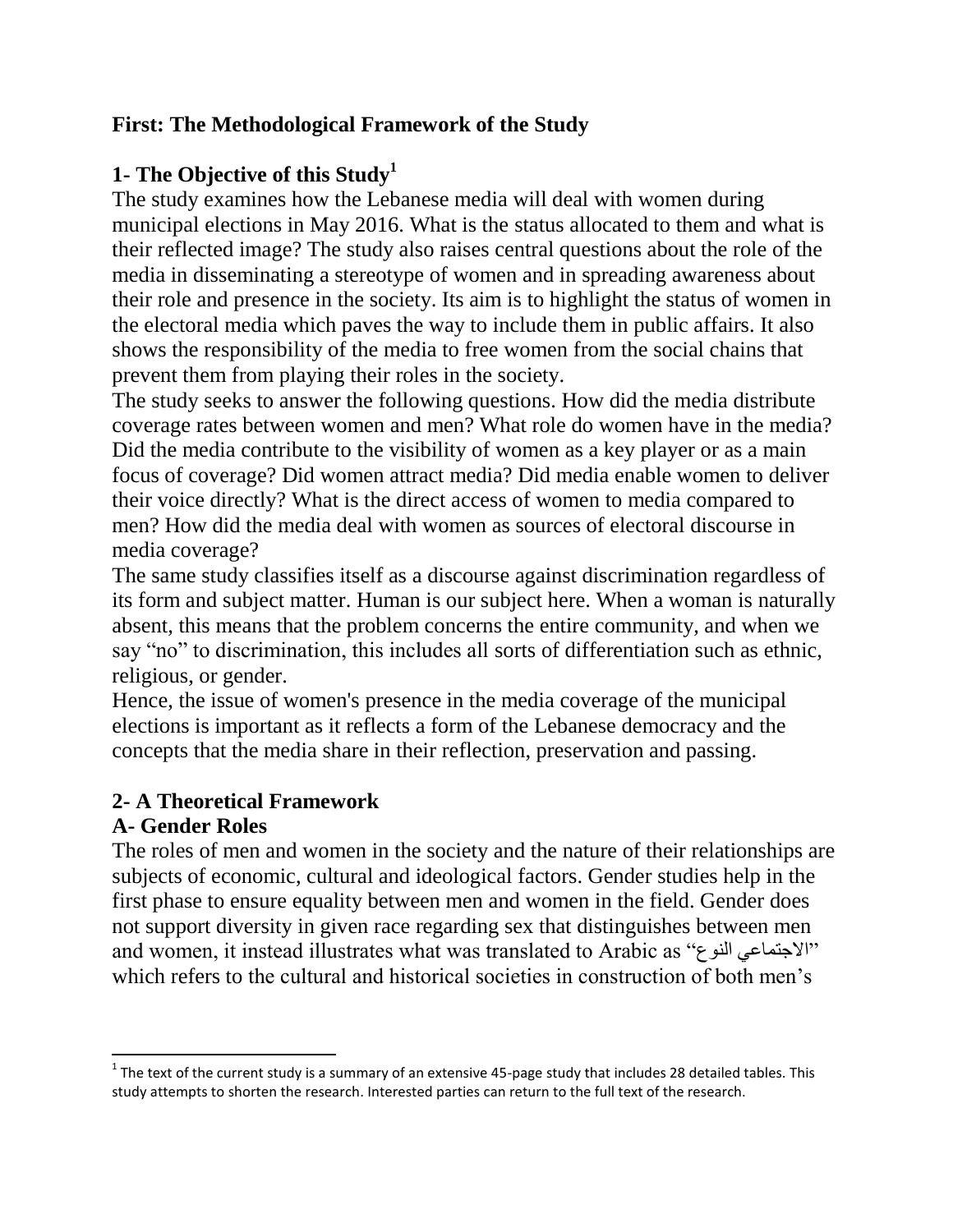#### **First: The Methodological Framework of the Study**

## **1- The Objective of this Study<sup>1</sup>**

The study examines how the Lebanese media will deal with women during municipal elections in May 2016. What is the status allocated to them and what is their reflected image? The study also raises central questions about the role of the media in disseminating a stereotype of women and in spreading awareness about their role and presence in the society. Its aim is to highlight the status of women in the electoral media which paves the way to include them in public affairs. It also shows the responsibility of the media to free women from the social chains that prevent them from playing their roles in the society.

The study seeks to answer the following questions. How did the media distribute coverage rates between women and men? What role do women have in the media? Did the media contribute to the visibility of women as a key player or as a main focus of coverage? Did women attract media? Did media enable women to deliver their voice directly? What is the direct access of women to media compared to men? How did the media deal with women as sources of electoral discourse in media coverage?

The same study classifies itself as a discourse against discrimination regardless of its form and subject matter. Human is our subject here. When a woman is naturally absent, this means that the problem concerns the entire community, and when we say "no" to discrimination, this includes all sorts of differentiation such as ethnic, religious, or gender.

Hence, the issue of women's presence in the media coverage of the municipal elections is important as it reflects a form of the Lebanese democracy and the concepts that the media share in their reflection, preservation and passing.

## **2- A Theoretical Framework**

## **A- Gender Roles**

 $\overline{\phantom{a}}$ 

The roles of men and women in the society and the nature of their relationships are subjects of economic, cultural and ideological factors. Gender studies help in the first phase to ensure equality between men and women in the field. Gender does not support diversity in given race regarding sex that distinguishes between men and women, it instead illustrates what was translated to Arabic as "الاجتماعي النوع" which refers to the cultural and historical societies in construction of both men's

 $^1$  The text of the current study is a summary of an extensive 45-page study that includes 28 detailed tables. This study attempts to shorten the research. Interested parties can return to the full text of the research.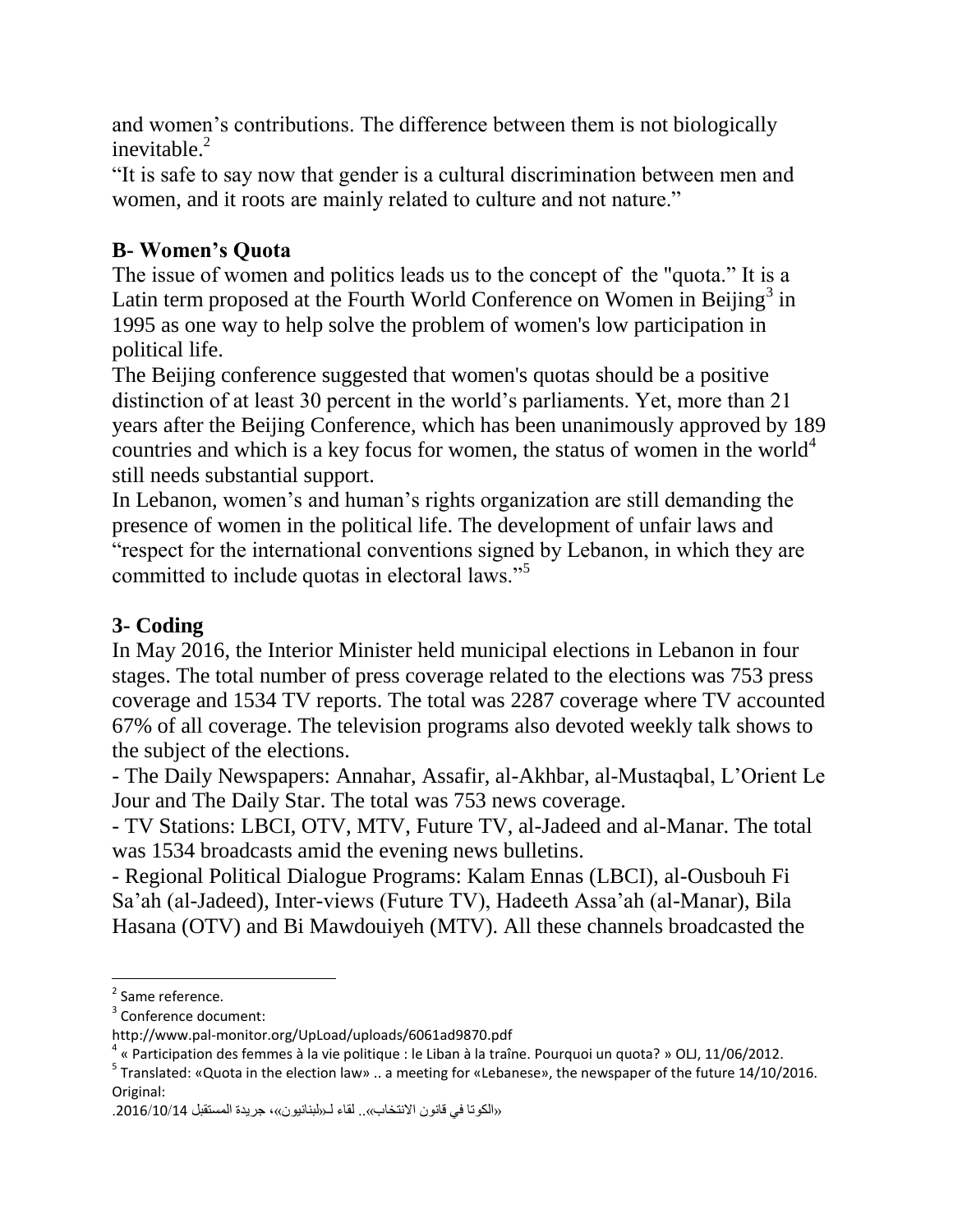and women's contributions. The difference between them is not biologically inevitable. $2$ 

"It is safe to say now that gender is a cultural discrimination between men and women, and it roots are mainly related to culture and not nature."

## **B- Women's Quota**

The issue of women and politics leads us to the concept of the "quota." It is a Latin term proposed at the Fourth World Conference on Women in Beijing<sup>3</sup> in 1995 as one way to help solve the problem of women's low participation in political life.

The Beijing conference suggested that women's quotas should be a positive distinction of at least 30 percent in the world's parliaments. Yet, more than 21 years after the Beijing Conference, which has been unanimously approved by 189 countries and which is a key focus for women, the status of women in the world<sup>4</sup> still needs substantial support.

In Lebanon, women's and human's rights organization are still demanding the presence of women in the political life. The development of unfair laws and "respect for the international conventions signed by Lebanon, in which they are committed to include quotas in electoral laws."<sup>5</sup>

## **3- Coding**

In May 2016, the Interior Minister held municipal elections in Lebanon in four stages. The total number of press coverage related to the elections was 753 press coverage and 1534 TV reports. The total was 2287 coverage where TV accounted 67% of all coverage. The television programs also devoted weekly talk shows to the subject of the elections.

- The Daily Newspapers: Annahar, Assafir, al-Akhbar, al-Mustaqbal, L'Orient Le Jour and The Daily Star. The total was 753 news coverage.

- TV Stations: LBCI, OTV, MTV, Future TV, al-Jadeed and al-Manar. The total was 1534 broadcasts amid the evening news bulletins.

- Regional Political Dialogue Programs: Kalam Ennas (LBCI), al-Ousbouh Fi Sa'ah (al-Jadeed), Inter-views (Future TV), Hadeeth Assa'ah (al-Manar), Bila Hasana (OTV) and Bi Mawdouiyeh (MTV). All these channels broadcasted the

<sup>&</sup>lt;sup>2</sup> Same reference.

<sup>&</sup>lt;sup>3</sup> Conference document:

<http://www.pal-monitor.org/UpLoad/uploads/6061ad9870.pdf>

<sup>4</sup> « Participation des femmes à la vie politique : le Liban à la traîne. Pourquoi un quota? » OLJ, 11/06/2012.

<sup>&</sup>lt;sup>5</sup> Translated: «Quota in the election law» .. a meeting for «Lebanese», the newspaper of the future 14/10/2016. Original:

<sup>«</sup>الكوتا في قانون الانتخاب».. لقاء لـ«لبنانيون»، جريدة المستقبل 2016/10/14.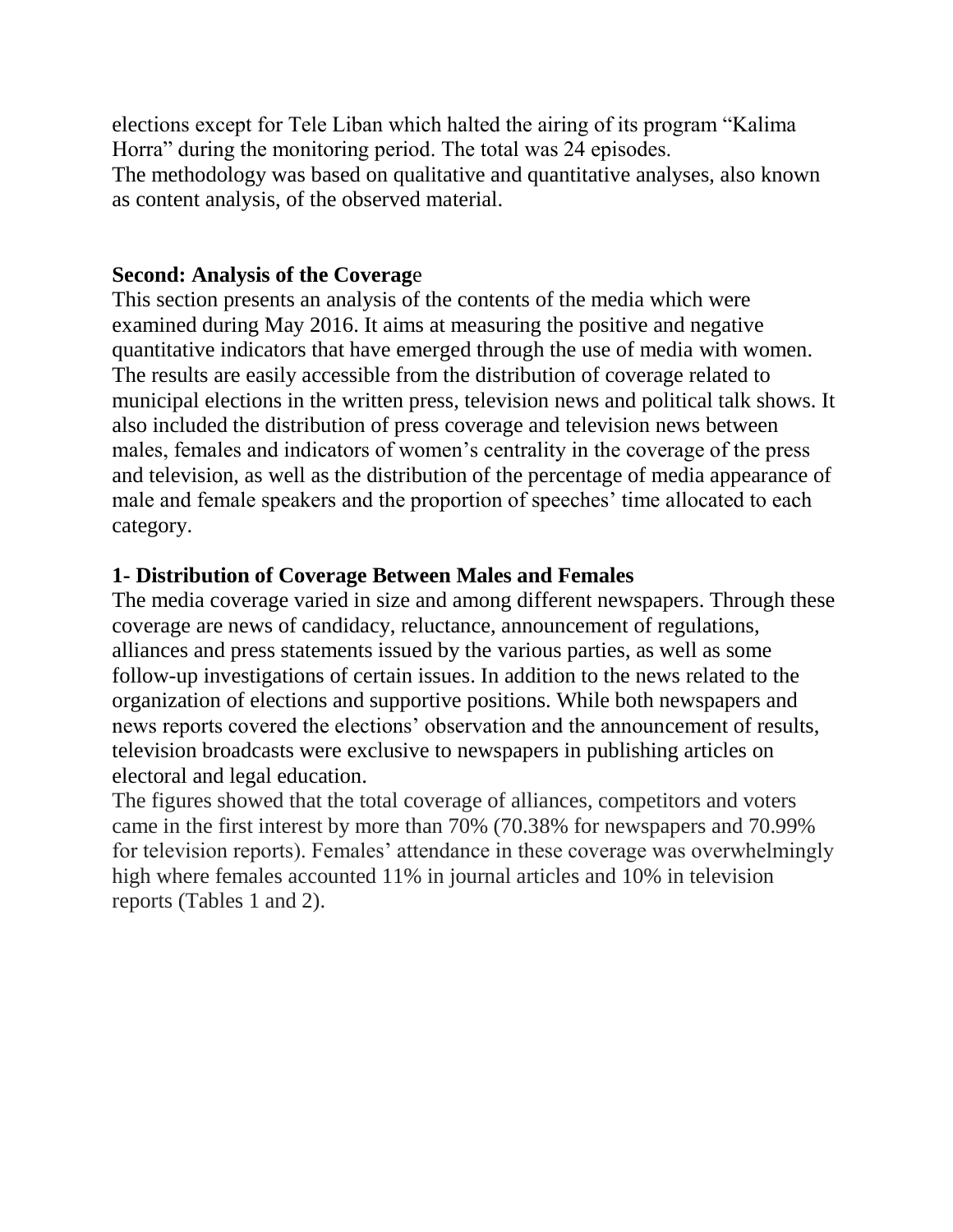elections except for Tele Liban which halted the airing of its program "Kalima Horra" during the monitoring period. The total was 24 episodes. The methodology was based on qualitative and quantitative analyses, also known as content analysis, of the observed material.

#### **Second: Analysis of the Coverag**e

This section presents an analysis of the contents of the media which were examined during May 2016. It aims at measuring the positive and negative quantitative indicators that have emerged through the use of media with women. The results are easily accessible from the distribution of coverage related to municipal elections in the written press, television news and political talk shows. It also included the distribution of press coverage and television news between males, females and indicators of women's centrality in the coverage of the press and television, as well as the distribution of the percentage of media appearance of male and female speakers and the proportion of speeches' time allocated to each category.

#### **1- Distribution of Coverage Between Males and Females**

The media coverage varied in size and among different newspapers. Through these coverage are news of candidacy, reluctance, announcement of regulations, alliances and press statements issued by the various parties, as well as some follow-up investigations of certain issues. In addition to the news related to the organization of elections and supportive positions. While both newspapers and news reports covered the elections' observation and the announcement of results, television broadcasts were exclusive to newspapers in publishing articles on electoral and legal education.

The figures showed that the total coverage of alliances, competitors and voters came in the first interest by more than 70% (70.38% for newspapers and 70.99% for television reports). Females' attendance in these coverage was overwhelmingly high where females accounted 11% in journal articles and 10% in television reports (Tables 1 and 2).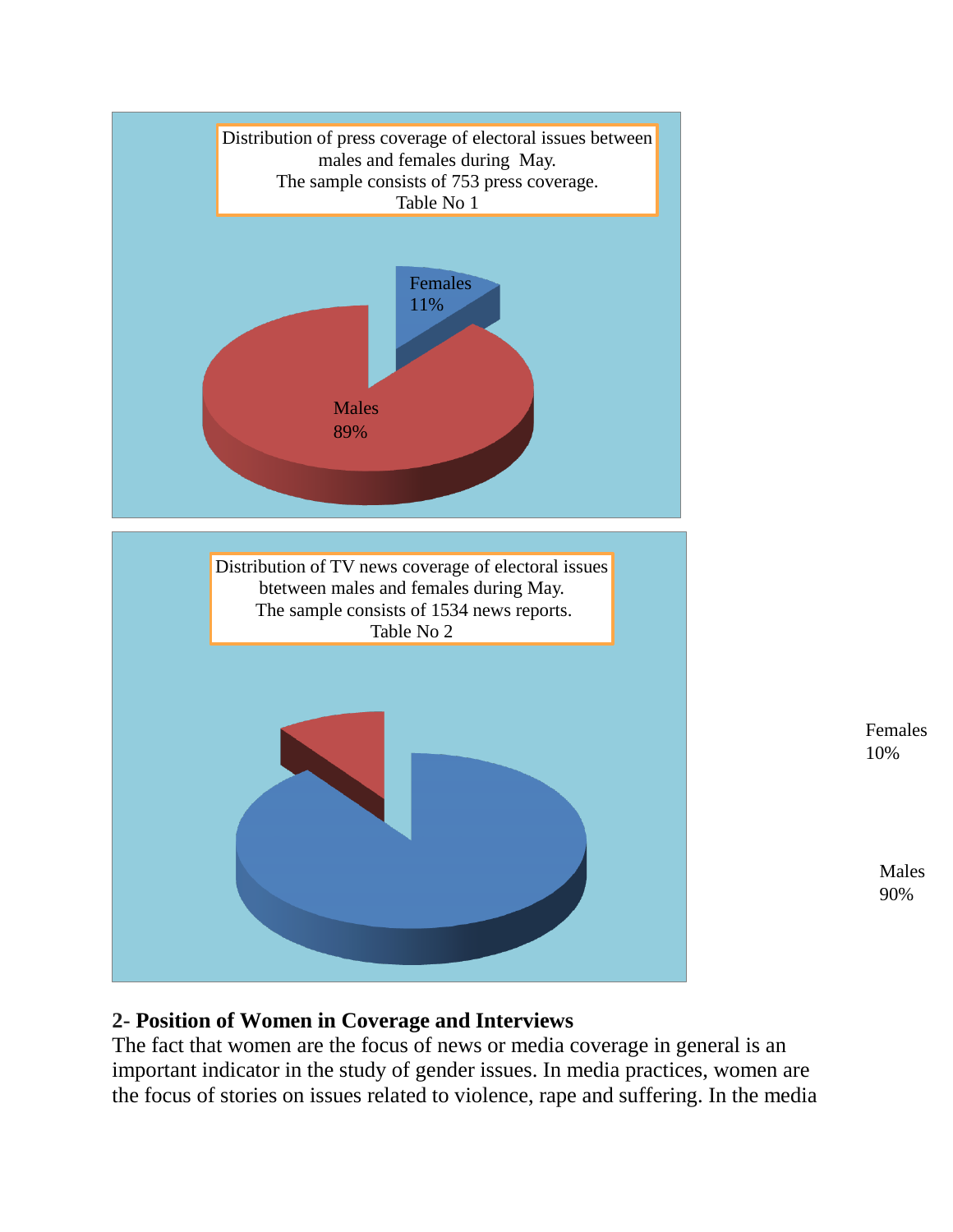

## **2- Position of Women in Coverage and Interviews**

The fact that women are the focus of news or media coverage in general is an important indicator in the study of gender issues. In media practices, women are the focus of stories on issues related to violence, rape and suffering. In the media Males 90%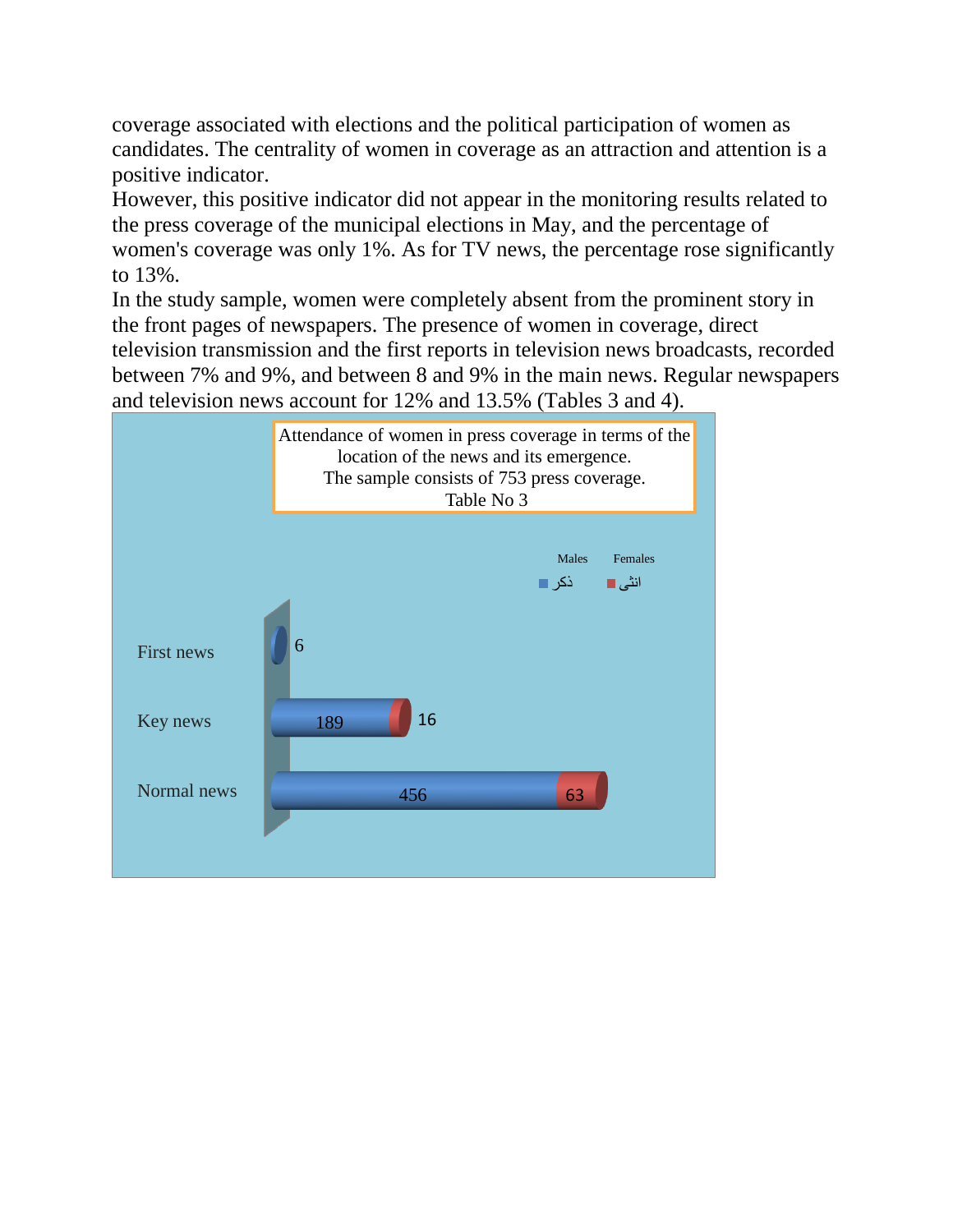coverage associated with elections and the political participation of women as candidates. The centrality of women in coverage as an attraction and attention is a positive indicator.

However, this positive indicator did not appear in the monitoring results related to the press coverage of the municipal elections in May, and the percentage of women's coverage was only 1%. As for TV news, the percentage rose significantly to 13%.

In the study sample, women were completely absent from the prominent story in the front pages of newspapers. The presence of women in coverage, direct television transmission and the first reports in television news broadcasts, recorded between 7% and 9%, and between 8 and 9% in the main news. Regular newspapers and television news account for 12% and 13.5% (Tables 3 and 4).

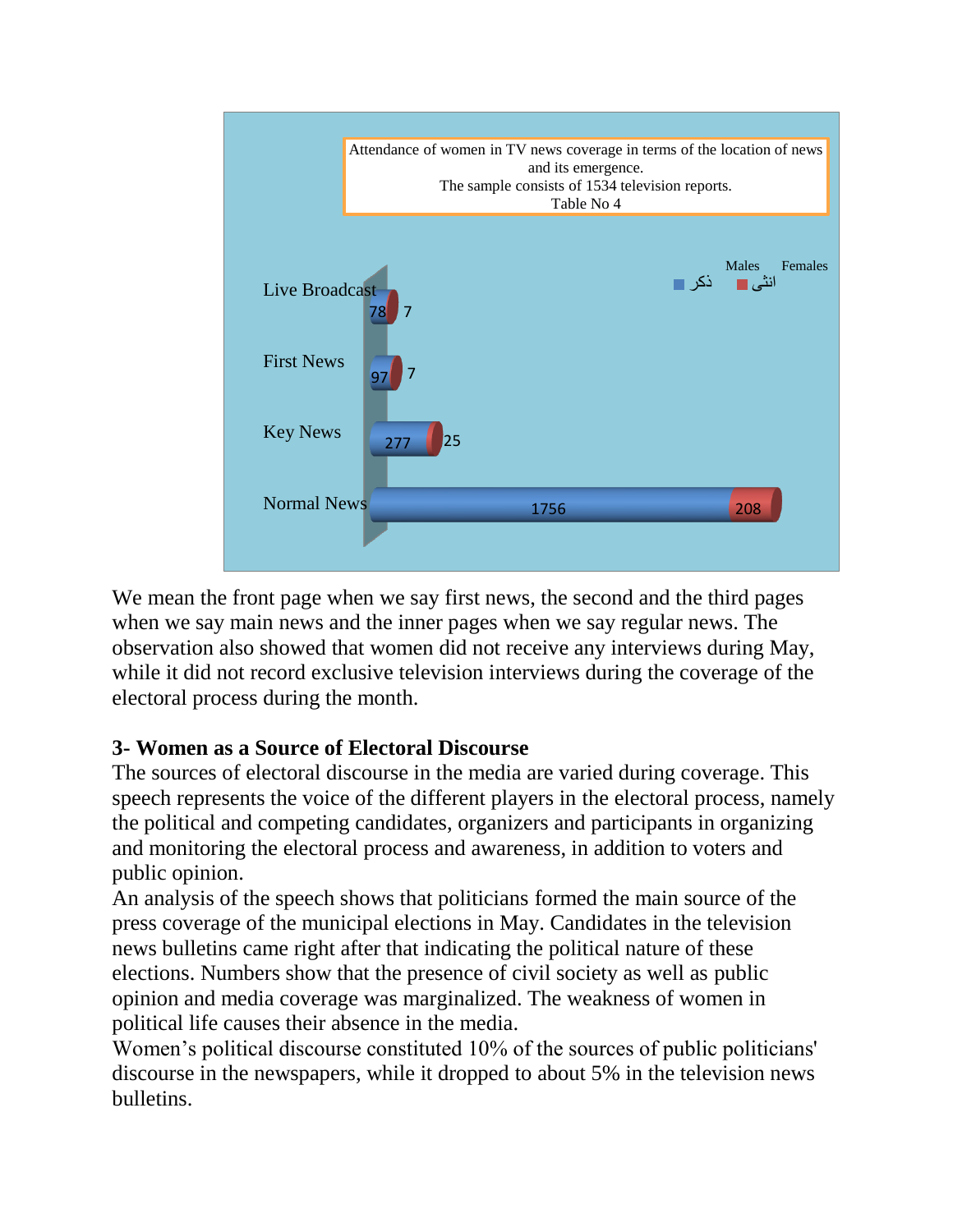

We mean the front page when we say first news, the second and the third pages when we say main news and the inner pages when we say regular news. The observation also showed that women did not receive any interviews during May, while it did not record exclusive television interviews during the coverage of the electoral process during the month.

## **3- Women as a Source of Electoral Discourse**

The sources of electoral discourse in the media are varied during coverage. This speech represents the voice of the different players in the electoral process, namely the political and competing candidates, organizers and participants in organizing and monitoring the electoral process and awareness, in addition to voters and public opinion.

An analysis of the speech shows that politicians formed the main source of the press coverage of the municipal elections in May. Candidates in the television news bulletins came right after that indicating the political nature of these elections. Numbers show that the presence of civil society as well as public opinion and media coverage was marginalized. The weakness of women in political life causes their absence in the media.

Women's political discourse constituted 10% of the sources of public politicians' discourse in the newspapers, while it dropped to about 5% in the television news bulletins.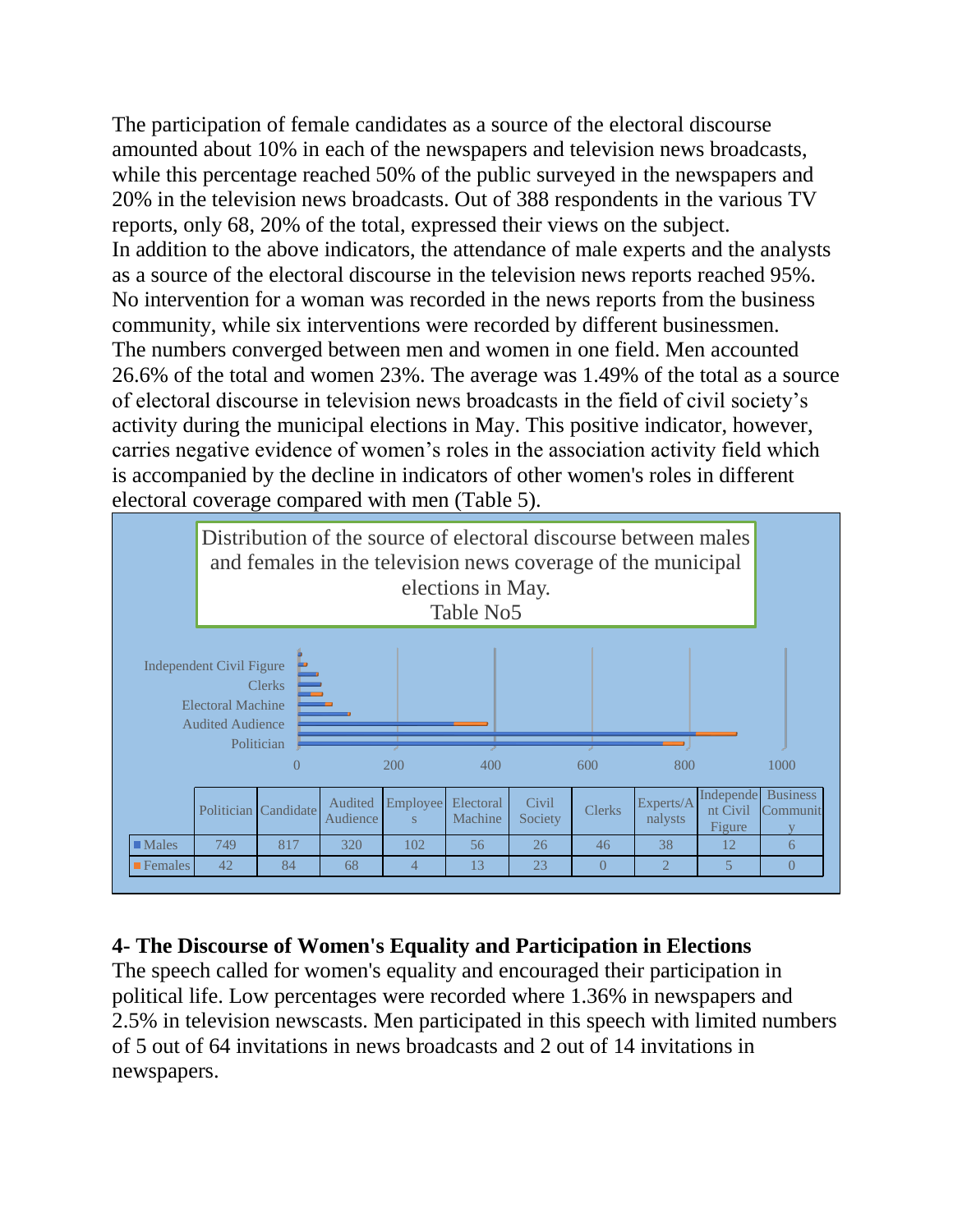The participation of female candidates as a source of the electoral discourse amounted about 10% in each of the newspapers and television news broadcasts, while this percentage reached 50% of the public surveyed in the newspapers and 20% in the television news broadcasts. Out of 388 respondents in the various TV reports, only 68, 20% of the total, expressed their views on the subject. In addition to the above indicators, the attendance of male experts and the analysts as a source of the electoral discourse in the television news reports reached 95%. No intervention for a woman was recorded in the news reports from the business community, while six interventions were recorded by different businessmen. The numbers converged between men and women in one field. Men accounted 26.6% of the total and women 23%. The average was 1.49% of the total as a source of electoral discourse in television news broadcasts in the field of civil society's activity during the municipal elections in May. This positive indicator, however, carries negative evidence of women's roles in the association activity field which is accompanied by the decline in indicators of other women's roles in different electoral coverage compared with men (Table 5).



## **4- The Discourse of Women's Equality and Participation in Elections**

The speech called for women's equality and encouraged their participation in political life. Low percentages were recorded where 1.36% in newspapers and 2.5% in television newscasts. Men participated in this speech with limited numbers of 5 out of 64 invitations in news broadcasts and 2 out of 14 invitations in newspapers.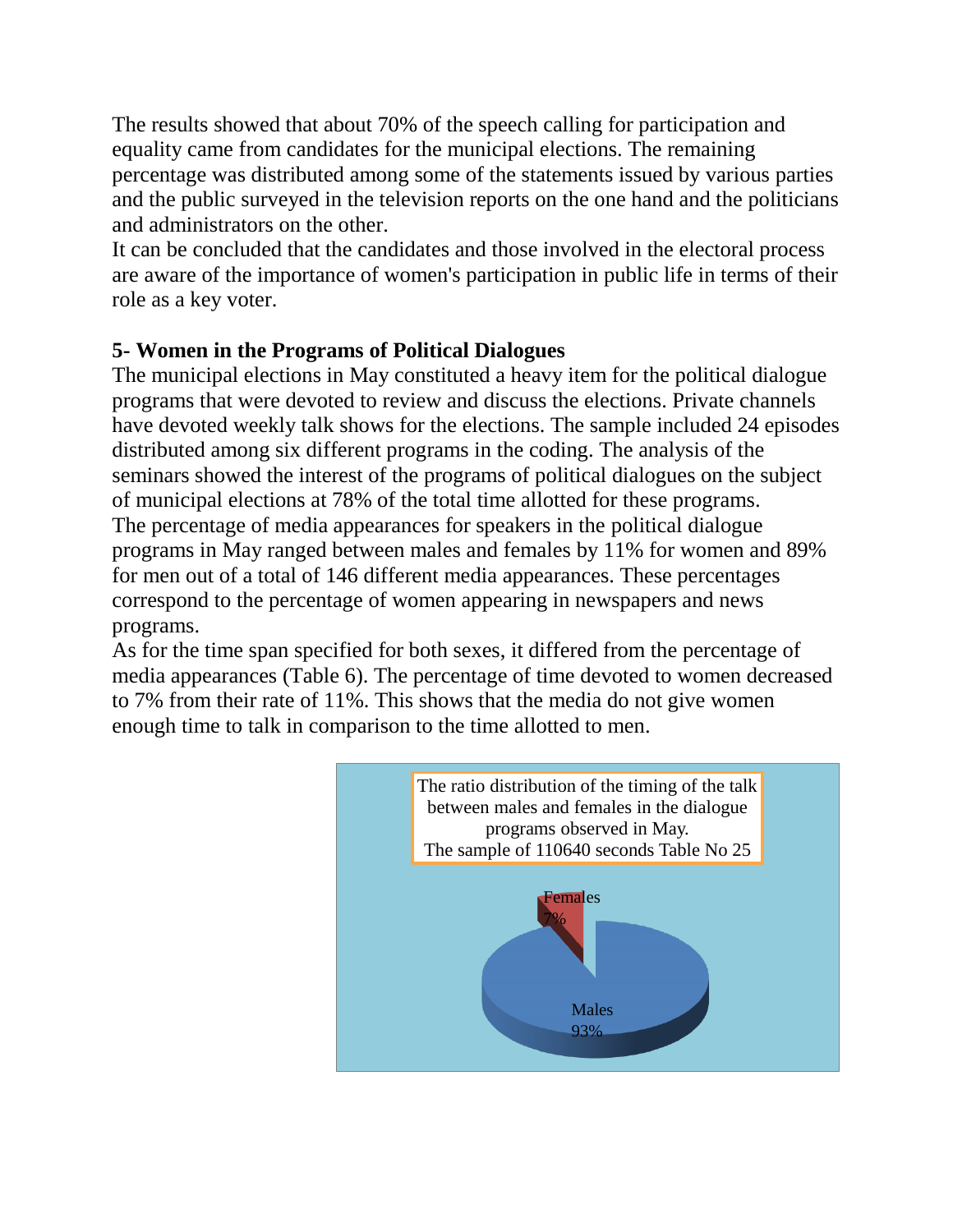The results showed that about 70% of the speech calling for participation and equality came from candidates for the municipal elections. The remaining percentage was distributed among some of the statements issued by various parties and the public surveyed in the television reports on the one hand and the politicians and administrators on the other.

It can be concluded that the candidates and those involved in the electoral process are aware of the importance of women's participation in public life in terms of their role as a key voter.

## **5- Women in the Programs of Political Dialogues**

The municipal elections in May constituted a heavy item for the political dialogue programs that were devoted to review and discuss the elections. Private channels have devoted weekly talk shows for the elections. The sample included 24 episodes distributed among six different programs in the coding. The analysis of the seminars showed the interest of the programs of political dialogues on the subject of municipal elections at 78% of the total time allotted for these programs. The percentage of media appearances for speakers in the political dialogue programs in May ranged between males and females by 11% for women and 89% for men out of a total of 146 different media appearances. These percentages correspond to the percentage of women appearing in newspapers and news programs.

As for the time span specified for both sexes, it differed from the percentage of media appearances (Table 6). The percentage of time devoted to women decreased to 7% from their rate of 11%. This shows that the media do not give women enough time to talk in comparison to the time allotted to men.

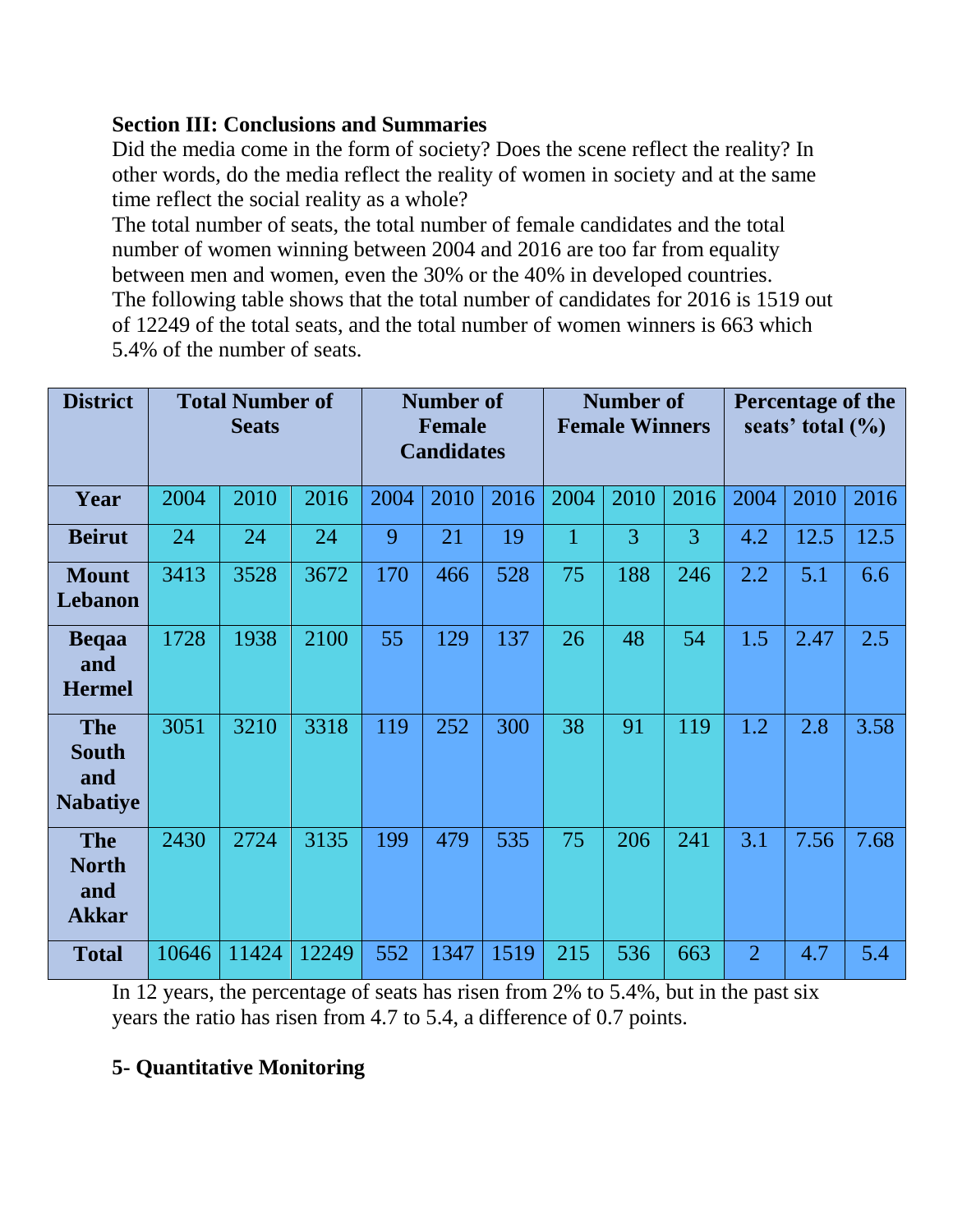#### **Section III: Conclusions and Summaries**

Did the media come in the form of society? Does the scene reflect the reality? In other words, do the media reflect the reality of women in society and at the same time reflect the social reality as a whole?

The total number of seats, the total number of female candidates and the total number of women winning between 2004 and 2016 are too far from equality between men and women, even the 30% or the 40% in developed countries. The following table shows that the total number of candidates for 2016 is 1519 out of 12249 of the total seats, and the total number of women winners is 663 which 5.4% of the number of seats.

| <b>District</b>                                      | <b>Total Number of</b><br><b>Seats</b> |       |       | <b>Number of</b><br><b>Female</b><br><b>Candidates</b> |      |      | <b>Number of</b><br><b>Female Winners</b> |      |      | Percentage of the<br>seats' total $(\%)$ |      |      |
|------------------------------------------------------|----------------------------------------|-------|-------|--------------------------------------------------------|------|------|-------------------------------------------|------|------|------------------------------------------|------|------|
| Year                                                 | 2004                                   | 2010  | 2016  | 2004                                                   | 2010 | 2016 | 2004                                      | 2010 | 2016 | 2004                                     | 2010 | 2016 |
| <b>Beirut</b>                                        | 24                                     | 24    | 24    | 9                                                      | 21   | 19   | $\mathbf{1}$                              | 3    | 3    | 4.2                                      | 12.5 | 12.5 |
| <b>Mount</b><br>Lebanon                              | 3413                                   | 3528  | 3672  | 170                                                    | 466  | 528  | 75                                        | 188  | 246  | 2.2                                      | 5.1  | 6.6  |
| <b>Beqaa</b><br>and<br><b>Hermel</b>                 | 1728                                   | 1938  | 2100  | 55                                                     | 129  | 137  | 26                                        | 48   | 54   | 1.5                                      | 2.47 | 2.5  |
| <b>The</b><br><b>South</b><br>and<br><b>Nabatiye</b> | 3051                                   | 3210  | 3318  | 119                                                    | 252  | 300  | 38                                        | 91   | 119  | 1.2                                      | 2.8  | 3.58 |
| <b>The</b><br><b>North</b><br>and<br><b>Akkar</b>    | 2430                                   | 2724  | 3135  | 199                                                    | 479  | 535  | 75                                        | 206  | 241  | 3.1                                      | 7.56 | 7.68 |
| <b>Total</b>                                         | 10646                                  | 11424 | 12249 | 552                                                    | 1347 | 1519 | 215                                       | 536  | 663  | $\overline{2}$                           | 4.7  | 5.4  |

In 12 years, the percentage of seats has risen from 2% to 5.4%, but in the past six years the ratio has risen from 4.7 to 5.4, a difference of 0.7 points.

## **5- Quantitative Monitoring**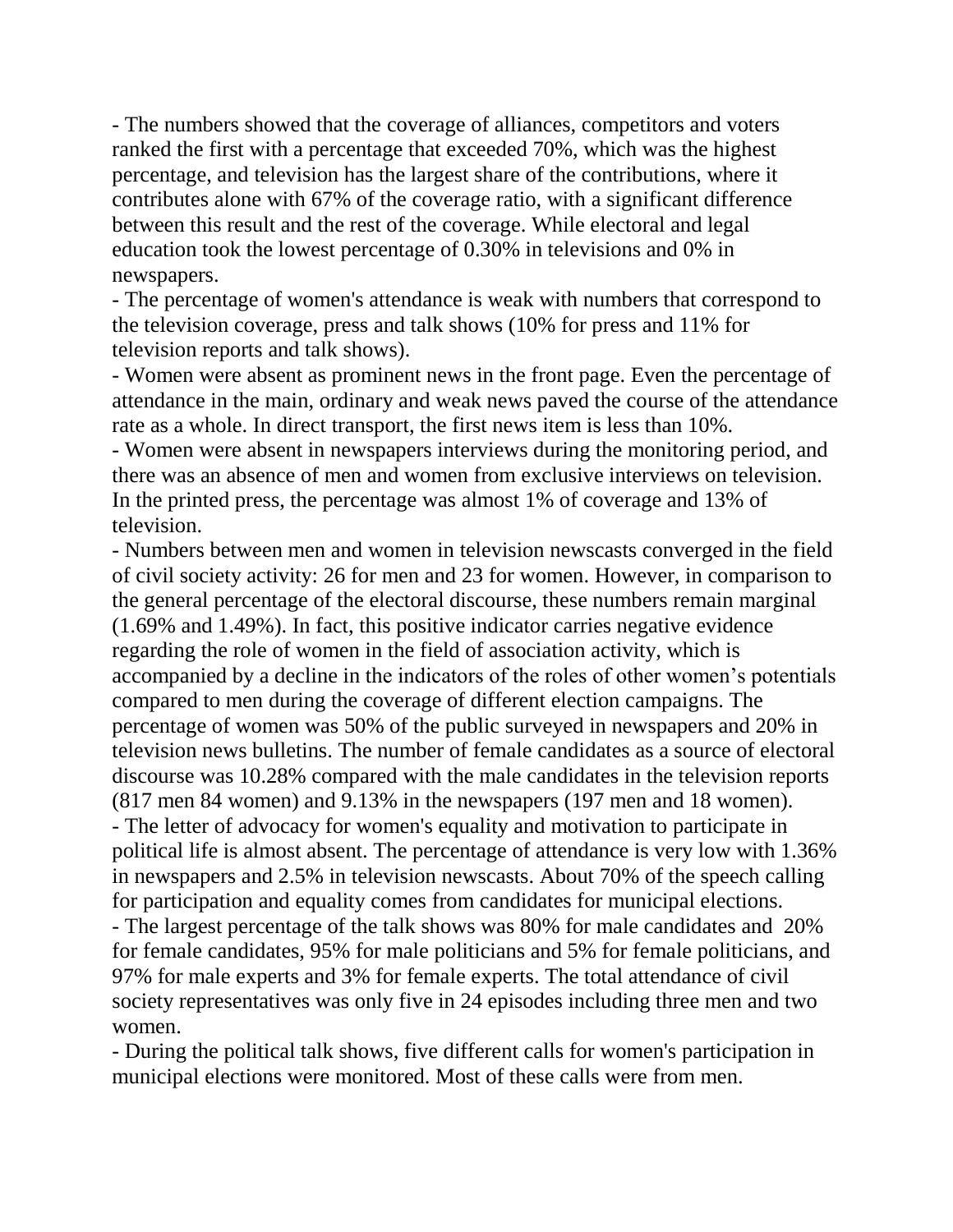- The numbers showed that the coverage of alliances, competitors and voters ranked the first with a percentage that exceeded 70%, which was the highest percentage, and television has the largest share of the contributions, where it contributes alone with 67% of the coverage ratio, with a significant difference between this result and the rest of the coverage. While electoral and legal education took the lowest percentage of 0.30% in televisions and 0% in newspapers.

- The percentage of women's attendance is weak with numbers that correspond to the television coverage, press and talk shows (10% for press and 11% for television reports and talk shows).

- Women were absent as prominent news in the front page. Even the percentage of attendance in the main, ordinary and weak news paved the course of the attendance rate as a whole. In direct transport, the first news item is less than 10%.

- Women were absent in newspapers interviews during the monitoring period, and there was an absence of men and women from exclusive interviews on television. In the printed press, the percentage was almost 1% of coverage and 13% of television.

- Numbers between men and women in television newscasts converged in the field of civil society activity: 26 for men and 23 for women. However, in comparison to the general percentage of the electoral discourse, these numbers remain marginal (1.69% and 1.49%). In fact, this positive indicator carries negative evidence regarding the role of women in the field of association activity, which is accompanied by a decline in the indicators of the roles of other women's potentials compared to men during the coverage of different election campaigns. The percentage of women was 50% of the public surveyed in newspapers and 20% in television news bulletins. The number of female candidates as a source of electoral discourse was 10.28% compared with the male candidates in the television reports (817 men 84 women) and 9.13% in the newspapers (197 men and 18 women). - The letter of advocacy for women's equality and motivation to participate in political life is almost absent. The percentage of attendance is very low with 1.36% in newspapers and 2.5% in television newscasts. About 70% of the speech calling for participation and equality comes from candidates for municipal elections. - The largest percentage of the talk shows was 80% for male candidates and 20% for female candidates, 95% for male politicians and 5% for female politicians, and 97% for male experts and 3% for female experts. The total attendance of civil society representatives was only five in 24 episodes including three men and two women.

- During the political talk shows, five different calls for women's participation in municipal elections were monitored. Most of these calls were from men.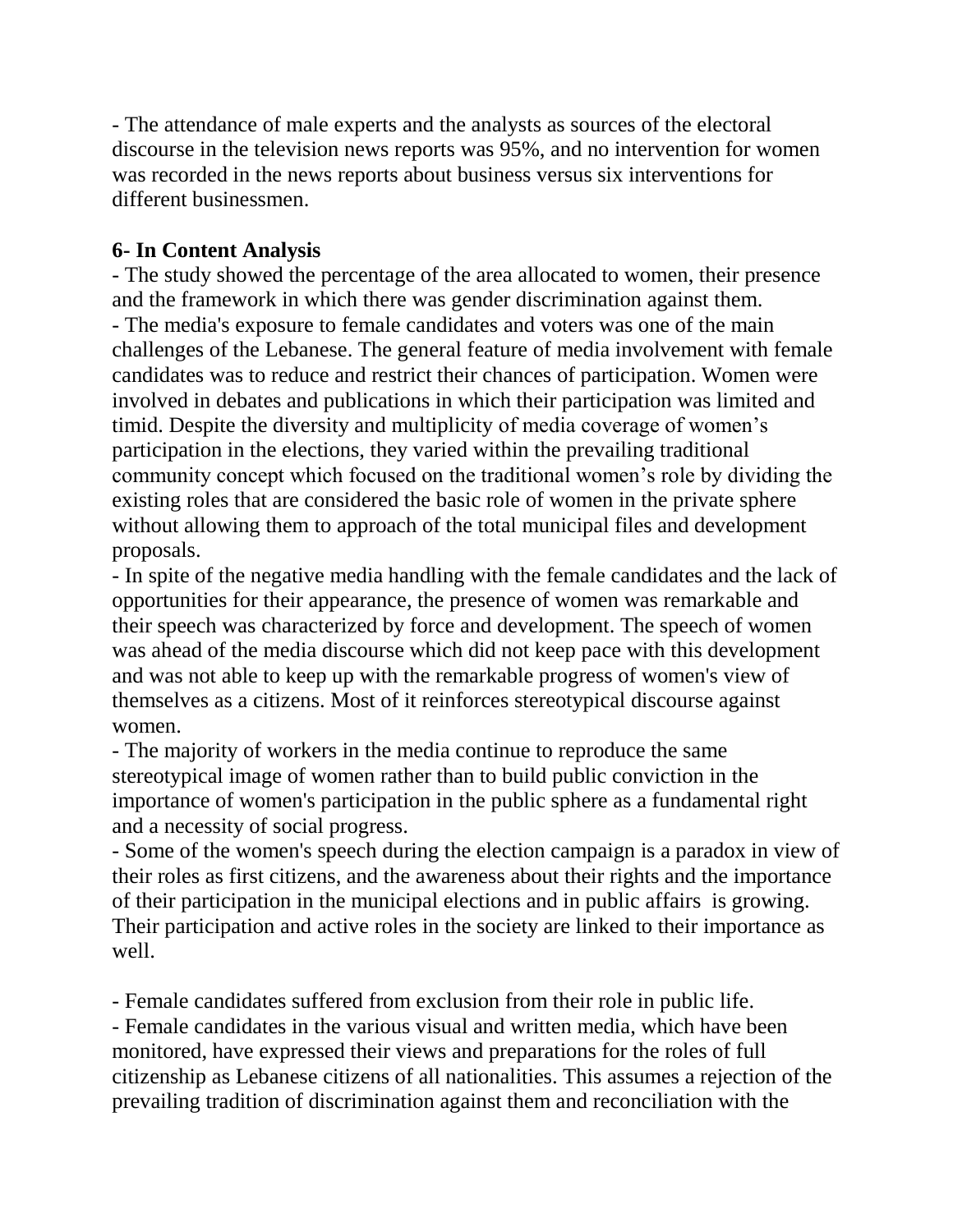- The attendance of male experts and the analysts as sources of the electoral discourse in the television news reports was 95%, and no intervention for women was recorded in the news reports about business versus six interventions for different businessmen.

#### **6- In Content Analysis**

- The study showed the percentage of the area allocated to women, their presence and the framework in which there was gender discrimination against them. - The media's exposure to female candidates and voters was one of the main challenges of the Lebanese. The general feature of media involvement with female candidates was to reduce and restrict their chances of participation. Women were involved in debates and publications in which their participation was limited and timid. Despite the diversity and multiplicity of media coverage of women's participation in the elections, they varied within the prevailing traditional community concept which focused on the traditional women's role by dividing the existing roles that are considered the basic role of women in the private sphere without allowing them to approach of the total municipal files and development proposals.

- In spite of the negative media handling with the female candidates and the lack of opportunities for their appearance, the presence of women was remarkable and their speech was characterized by force and development. The speech of women was ahead of the media discourse which did not keep pace with this development and was not able to keep up with the remarkable progress of women's view of themselves as a citizens. Most of it reinforces stereotypical discourse against women.

- The majority of workers in the media continue to reproduce the same stereotypical image of women rather than to build public conviction in the importance of women's participation in the public sphere as a fundamental right and a necessity of social progress.

- Some of the women's speech during the election campaign is a paradox in view of their roles as first citizens, and the awareness about their rights and the importance of their participation in the municipal elections and in public affairs is growing. Their participation and active roles in the society are linked to their importance as well.

- Female candidates suffered from exclusion from their role in public life. - Female candidates in the various visual and written media, which have been monitored, have expressed their views and preparations for the roles of full citizenship as Lebanese citizens of all nationalities. This assumes a rejection of the prevailing tradition of discrimination against them and reconciliation with the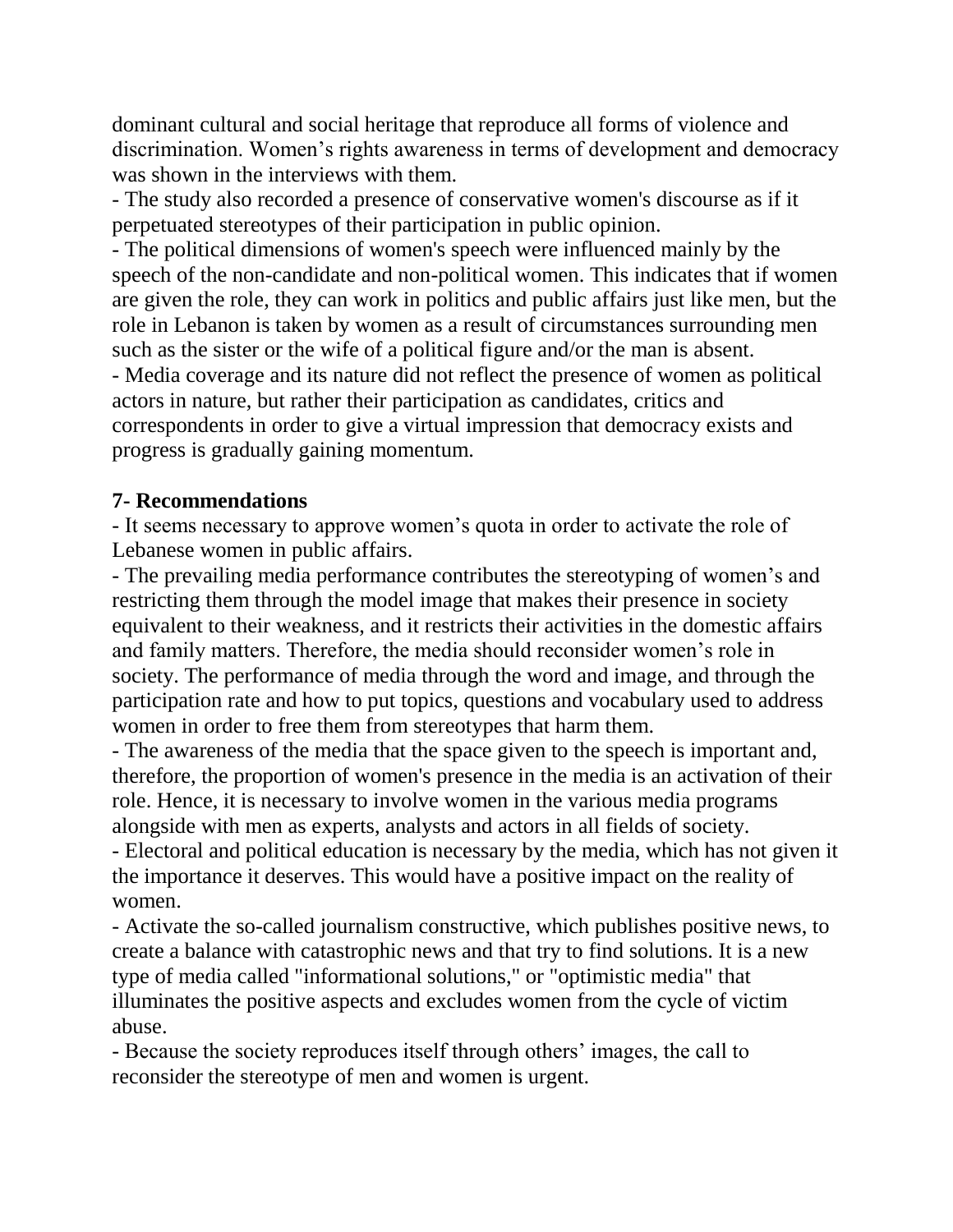dominant cultural and social heritage that reproduce all forms of violence and discrimination. Women's rights awareness in terms of development and democracy was shown in the interviews with them.

- The study also recorded a presence of conservative women's discourse as if it perpetuated stereotypes of their participation in public opinion.

- The political dimensions of women's speech were influenced mainly by the speech of the non-candidate and non-political women. This indicates that if women are given the role, they can work in politics and public affairs just like men, but the role in Lebanon is taken by women as a result of circumstances surrounding men such as the sister or the wife of a political figure and/or the man is absent.

- Media coverage and its nature did not reflect the presence of women as political actors in nature, but rather their participation as candidates, critics and correspondents in order to give a virtual impression that democracy exists and progress is gradually gaining momentum.

#### **7- Recommendations**

- It seems necessary to approve women's quota in order to activate the role of Lebanese women in public affairs.

- The prevailing media performance contributes the stereotyping of women's and restricting them through the model image that makes their presence in society equivalent to their weakness, and it restricts their activities in the domestic affairs and family matters. Therefore, the media should reconsider women's role in society. The performance of media through the word and image, and through the participation rate and how to put topics, questions and vocabulary used to address women in order to free them from stereotypes that harm them.

- The awareness of the media that the space given to the speech is important and, therefore, the proportion of women's presence in the media is an activation of their role. Hence, it is necessary to involve women in the various media programs alongside with men as experts, analysts and actors in all fields of society.

- Electoral and political education is necessary by the media, which has not given it the importance it deserves. This would have a positive impact on the reality of women.

- Activate the so-called journalism constructive, which publishes positive news, to create a balance with catastrophic news and that try to find solutions. It is a new type of media called "informational solutions," or "optimistic media" that illuminates the positive aspects and excludes women from the cycle of victim abuse.

- Because the society reproduces itself through others' images, the call to reconsider the stereotype of men and women is urgent.